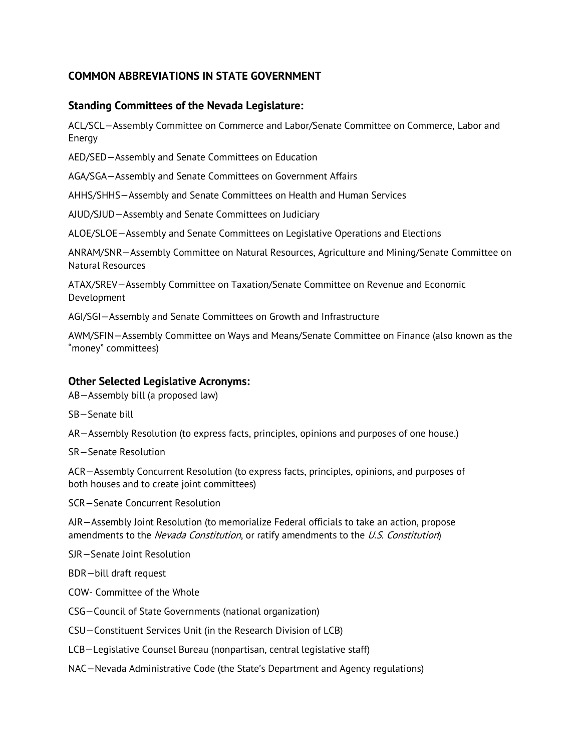## **COMMON ABBREVIATIONS IN STATE GOVERNMENT**

## **Standing Committees of the Nevada Legislature:**

ACL/SCL—Assembly Committee on Commerce and Labor/Senate Committee on Commerce, Labor and Energy

AED/SED—Assembly and Senate Committees on Education

AGA/SGA—Assembly and Senate Committees on Government Affairs

AHHS/SHHS—Assembly and Senate Committees on Health and Human Services

AJUD/SJUD—Assembly and Senate Committees on Judiciary

ALOE/SLOE—Assembly and Senate Committees on Legislative Operations and Elections

ANRAM/SNR—Assembly Committee on Natural Resources, Agriculture and Mining/Senate Committee on Natural Resources

ATAX/SREV—Assembly Committee on Taxation/Senate Committee on Revenue and Economic Development

AGI/SGI—Assembly and Senate Committees on Growth and Infrastructure

AWM/SFIN—Assembly Committee on Ways and Means/Senate Committee on Finance (also known as the "money" committees)

## **Other Selected Legislative Acronyms:**

AB—Assembly bill (a proposed law)

SB—Senate bill

AR—Assembly Resolution (to express facts, principles, opinions and purposes of one house.)

SR—Senate Resolution

ACR—Assembly Concurrent Resolution (to express facts, principles, opinions, and purposes of both houses and to create joint committees)

SCR—Senate Concurrent Resolution

AJR—Assembly Joint Resolution (to memorialize Federal officials to take an action, propose amendments to the *Nevada Constitution*, or ratify amendments to the *U.S. Constitution*)

SJR—Senate Joint Resolution

BDR—bill draft request

COW- Committee of the Whole

CSG—Council of State Governments (national organization)

CSU—Constituent Services Unit (in the Research Division of LCB)

LCB—Legislative Counsel Bureau (nonpartisan, central legislative staff)

NAC—Nevada Administrative Code (the State's Department and Agency regulations)